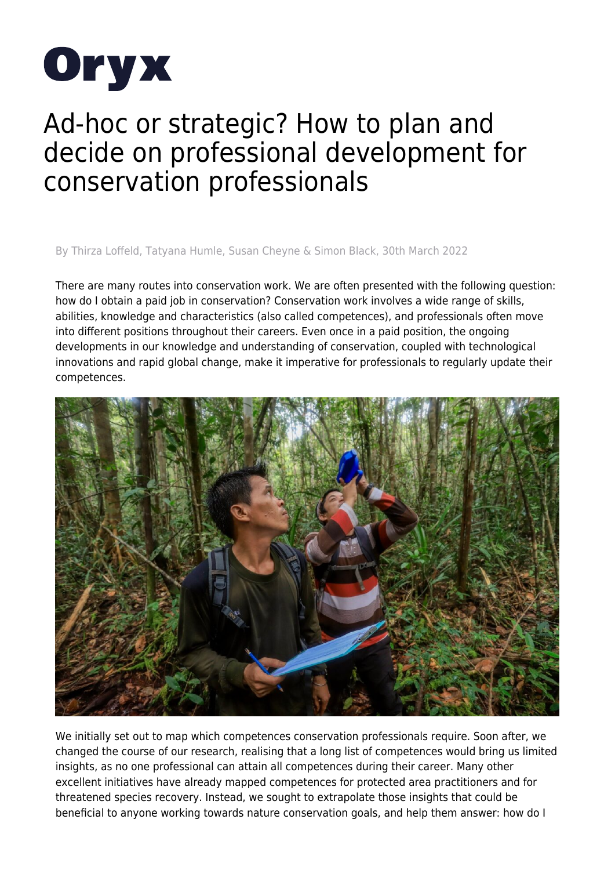

## Ad-hoc or strategic? How to plan and decide on professional development for conservation professionals

By Thirza Loffeld, Tatyana Humle, Susan Cheyne & Simon Black, 30th March 2022

There are many routes into conservation work. We are often presented with the following question: how do I obtain a paid job in conservation? Conservation work involves a wide range of skills, abilities, knowledge and characteristics (also called competences), and professionals often move into different positions throughout their careers. Even once in a paid position, the ongoing developments in our knowledge and understanding of conservation, coupled with technological innovations and rapid global change, make it imperative for professionals to regularly update their competences.



We initially set out to map which competences conservation professionals require. Soon after, we changed the course of our research, realising that a long list of competences would bring us limited insights, as no one professional can attain all competences during their career. Many other excellent initiatives have already mapped competences for protected area practitioners and for threatened species recovery. Instead, we sought to extrapolate those insights that could be beneficial to anyone working towards nature conservation goals, and help them answer: how do I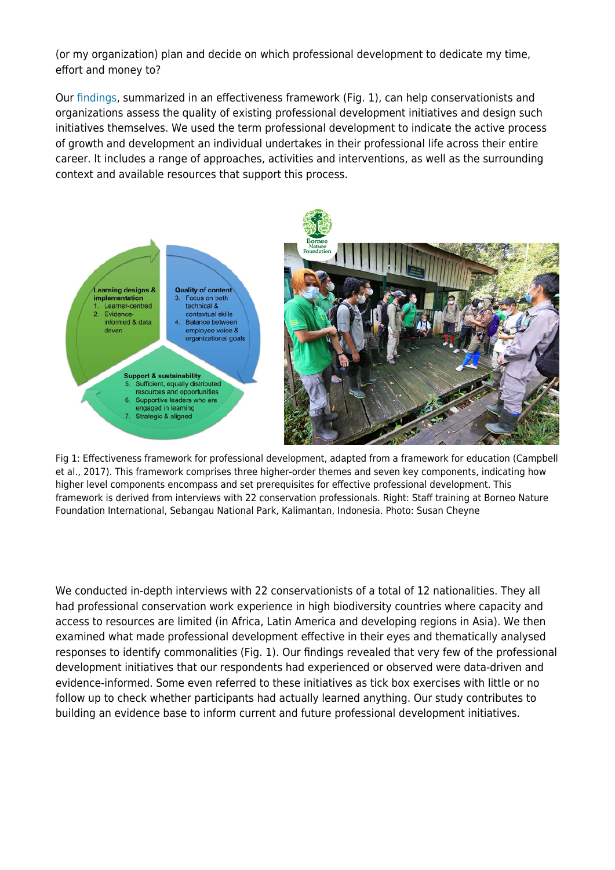(or my organization) plan and decide on which professional development to dedicate my time, effort and money to?

Our [findings](https://doi.org/10.1017/S0030605321000648), summarized in an effectiveness framework (Fig. 1), can help conservationists and organizations assess the quality of existing professional development initiatives and design such initiatives themselves. We used the term professional development to indicate the active process of growth and development an individual undertakes in their professional life across their entire career. It includes a range of approaches, activities and interventions, as well as the surrounding context and available resources that support this process.



Fig 1: Effectiveness framework for professional development, adapted from a framework for education (Campbell et al., 2017). This framework comprises three higher-order themes and seven key components, indicating how higher level components encompass and set prerequisites for effective professional development. This framework is derived from interviews with 22 conservation professionals. Right: Staff training at Borneo Nature Foundation International, Sebangau National Park, Kalimantan, Indonesia. Photo: Susan Cheyne

We conducted in-depth interviews with 22 conservationists of a total of 12 nationalities. They all had professional conservation work experience in high biodiversity countries where capacity and access to resources are limited (in Africa, Latin America and developing regions in Asia). We then examined what made professional development effective in their eyes and thematically analysed responses to identify commonalities (Fig. 1). Our findings revealed that very few of the professional development initiatives that our respondents had experienced or observed were data-driven and evidence-informed. Some even referred to these initiatives as tick box exercises with little or no follow up to check whether participants had actually learned anything. Our study contributes to building an evidence base to inform current and future professional development initiatives.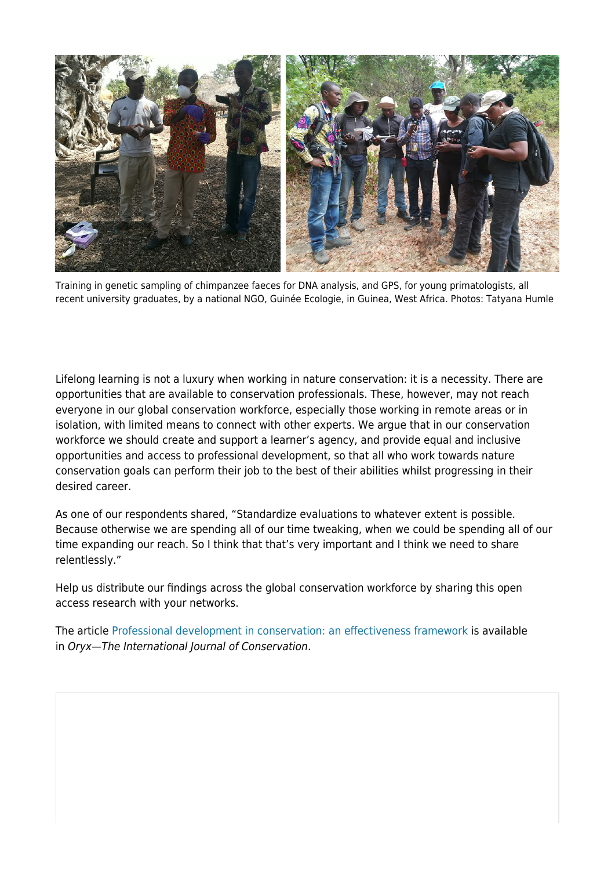

Training in genetic sampling of chimpanzee faeces for DNA analysis, and GPS, for young primatologists, all recent university graduates, by a national NGO, Guinée Ecologie, in Guinea, West Africa. Photos: Tatyana Humle

Lifelong learning is not a luxury when working in nature conservation: it is a necessity. There are opportunities that are available to conservation professionals. These, however, may not reach everyone in our global conservation workforce, especially those working in remote areas or in isolation, with limited means to connect with other experts. We argue that in our conservation workforce we should create and support a learner's agency, and provide equal and inclusive opportunities and access to professional development, so that all who work towards nature conservation goals can perform their job to the best of their abilities whilst progressing in their desired career.

As one of our respondents shared, "Standardize evaluations to whatever extent is possible. Because otherwise we are spending all of our time tweaking, when we could be spending all of our time expanding our reach. So I think that that's very important and I think we need to share relentlessly."

Help us distribute our findings across the global conservation workforce by sharing this open access research with your networks.

The article [Professional development in conservation: an effectiveness framework](https://doi.org/10.1017/S0030605321000648) is available in Oryx—The International Journal of Conservation.